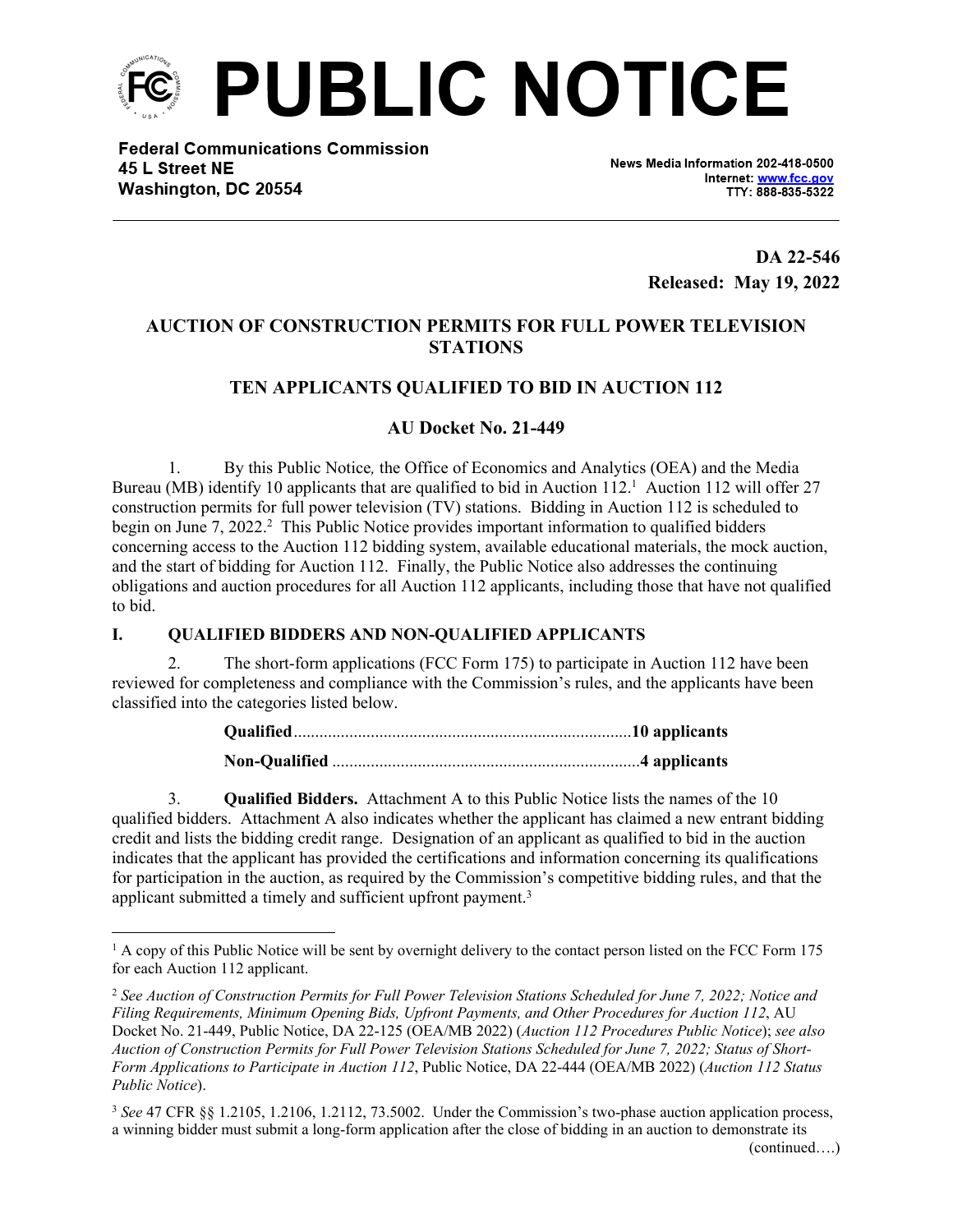

**Federal Communications Commission** 45 L Street NE Washington, DC 20554

News Media Information 202-418-0500 Internet: www.fcc.gov TTY: 888-835-5322

> **DA 22-546 Released: May 19, 2022**

# **AUCTION OF CONSTRUCTION PERMITS FOR FULL POWER TELEVISION STATIONS**

# **TEN APPLICANTS QUALIFIED TO BID IN AUCTION 112**

# **AU Docket No. 21-449**

1. By this Public Notice*,* the Office of Economics and Analytics (OEA) and the Media Bureau (MB) identify 10 applicants that are qualified to bid in Auction 112.<sup>1</sup> Auction 112 will offer 27 construction permits for full power television (TV) stations. Bidding in Auction 112 is scheduled to begin on June 7, 2022.<sup>2</sup> This Public Notice provides important information to qualified bidders concerning access to the Auction 112 bidding system, available educational materials, the mock auction, and the start of bidding for Auction 112. Finally, the Public Notice also addresses the continuing obligations and auction procedures for all Auction 112 applicants, including those that have not qualified to bid.

## **I. QUALIFIED BIDDERS AND NON-QUALIFIED APPLICANTS**

2. The short-form applications (FCC Form 175) to participate in Auction 112 have been reviewed for completeness and compliance with the Commission's rules, and the applicants have been classified into the categories listed below.

3. **Qualified Bidders.** Attachment A to this Public Notice lists the names of the 10 qualified bidders. Attachment A also indicates whether the applicant has claimed a new entrant bidding credit and lists the bidding credit range. Designation of an applicant as qualified to bid in the auction indicates that the applicant has provided the certifications and information concerning its qualifications for participation in the auction, as required by the Commission's competitive bidding rules, and that the applicant submitted a timely and sufficient upfront payment.<sup>3</sup>

<sup>&</sup>lt;sup>1</sup> A copy of this Public Notice will be sent by overnight delivery to the contact person listed on the FCC Form 175 for each Auction 112 applicant.

<sup>2</sup> *See Auction of Construction Permits for Full Power Television Stations Scheduled for June 7, 2022; Notice and Filing Requirements, Minimum Opening Bids, Upfront Payments, and Other Procedures for Auction 112*, AU Docket No. 21-449, Public Notice, DA 22-125 (OEA/MB 2022) (*Auction 112 Procedures Public Notice*); *see also Auction of Construction Permits for Full Power Television Stations Scheduled for June 7, 2022; Status of Short-Form Applications to Participate in Auction 112*, Public Notice, DA 22-444 (OEA/MB 2022) (*Auction 112 Status Public Notice*).

<sup>3</sup> *See* 47 CFR §§ 1.2105, 1.2106, 1.2112, 73.5002. Under the Commission's two-phase auction application process, a winning bidder must submit a long-form application after the close of bidding in an auction to demonstrate its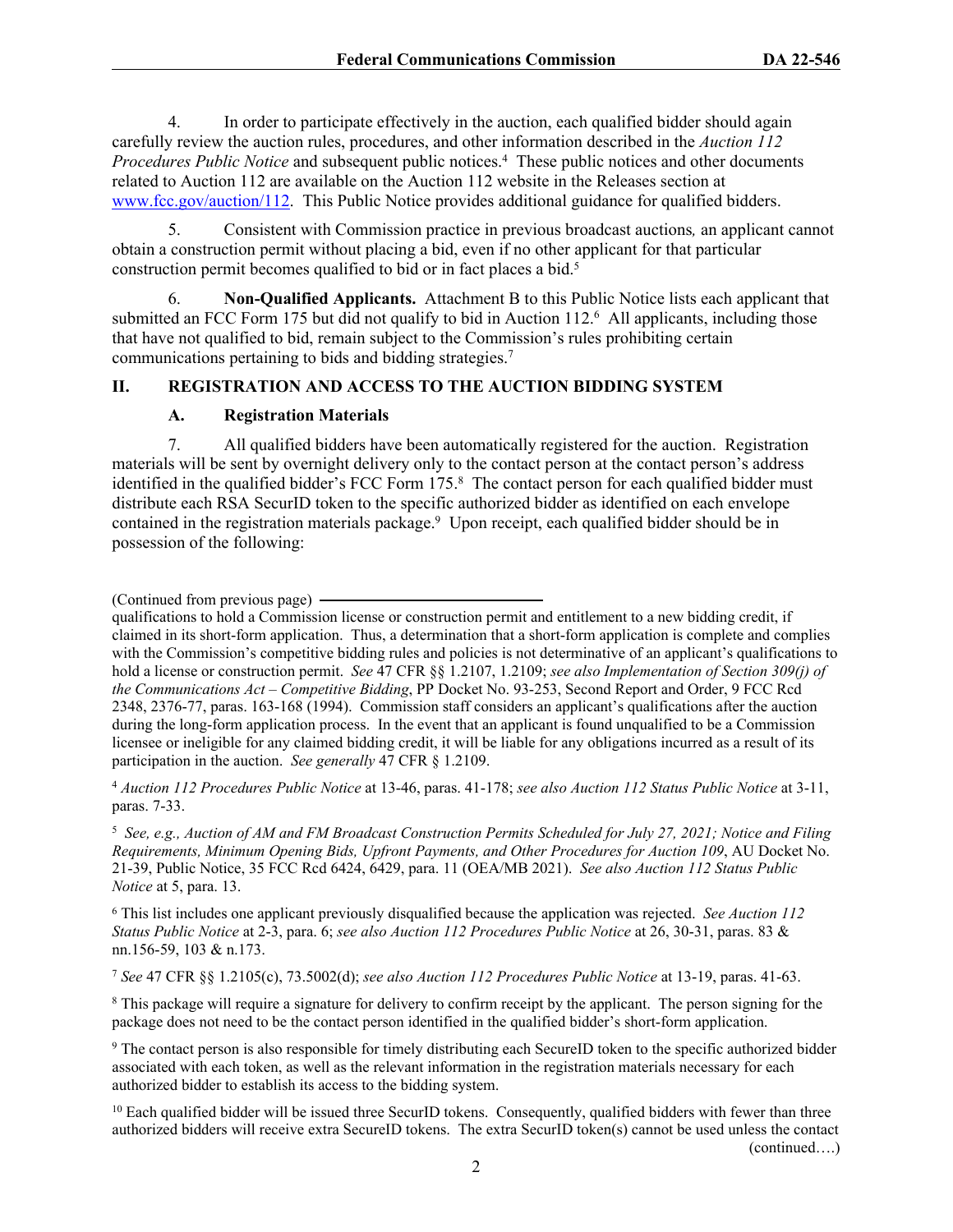4. In order to participate effectively in the auction, each qualified bidder should again carefully review the auction rules, procedures, and other information described in the *Auction 112*  Procedures Public Notice and subsequent public notices.<sup>4</sup> These public notices and other documents related to Auction 112 are available on the Auction 112 website in the Releases section at [www.fcc.gov/auction/112](https://www.fcc.gov/auction/112). This Public Notice provides additional guidance for qualified bidders.

5. Consistent with Commission practice in previous broadcast auctions*,* an applicant cannot obtain a construction permit without placing a bid, even if no other applicant for that particular construction permit becomes qualified to bid or in fact places a bid.<sup>5</sup>

6. **Non-Qualified Applicants.** Attachment B to this Public Notice lists each applicant that submitted an FCC Form 175 but did not qualify to bid in Auction 112.<sup>6</sup> All applicants, including those that have not qualified to bid, remain subject to the Commission's rules prohibiting certain communications pertaining to bids and bidding strategies.<sup>7</sup>

#### **II. REGISTRATION AND ACCESS TO THE AUCTION BIDDING SYSTEM**

#### **A. Registration Materials**

7. All qualified bidders have been automatically registered for the auction. Registration materials will be sent by overnight delivery only to the contact person at the contact person's address identified in the qualified bidder's FCC Form 175.<sup>8</sup> The contact person for each qualified bidder must distribute each RSA SecurID token to the specific authorized bidder as identified on each envelope contained in the registration materials package.<sup>9</sup> Upon receipt, each qualified bidder should be in possession of the following:

(Continued from previous page)

qualifications to hold a Commission license or construction permit and entitlement to a new bidding credit, if claimed in its short-form application. Thus, a determination that a short-form application is complete and complies with the Commission's competitive bidding rules and policies is not determinative of an applicant's qualifications to hold a license or construction permit. *See* 47 CFR §§ 1.2107, 1.2109; *see also Implementation of Section 309(j) of the Communications Act – Competitive Bidding*, PP Docket No. 93-253, Second Report and Order, 9 FCC Rcd 2348, 2376-77, paras. 163-168 (1994). Commission staff considers an applicant's qualifications after the auction during the long-form application process. In the event that an applicant is found unqualified to be a Commission licensee or ineligible for any claimed bidding credit, it will be liable for any obligations incurred as a result of its participation in the auction. *See generally* 47 CFR § 1.2109.

<sup>4</sup> *Auction 112 Procedures Public Notice* at 13-46, paras. 41-178; *see also Auction 112 Status Public Notice* at 3-11, paras. 7-33.

5  *See, e.g., Auction of AM and FM Broadcast Construction Permits Scheduled for July 27, 2021; Notice and Filing Requirements, Minimum Opening Bids, Upfront Payments, and Other Procedures for Auction 109*, AU Docket No. 21-39, Public Notice, 35 FCC Rcd 6424, 6429, para. 11 (OEA/MB 2021). *See also Auction 112 Status Public Notice* at 5, para. 13.

6 This list includes one applicant previously disqualified because the application was rejected. *See Auction 112 Status Public Notice* at 2-3, para. 6; *see also Auction 112 Procedures Public Notice* at 26, 30-31, paras. 83 & nn.156-59, 103 & n.173.

<sup>7</sup> *See* 47 CFR §§ 1.2105(c), 73.5002(d); *see also Auction 112 Procedures Public Notice* at 13-19, paras. 41-63.

<sup>8</sup> This package will require a signature for delivery to confirm receipt by the applicant. The person signing for the package does not need to be the contact person identified in the qualified bidder's short-form application.

9 The contact person is also responsible for timely distributing each SecureID token to the specific authorized bidder associated with each token, as well as the relevant information in the registration materials necessary for each authorized bidder to establish its access to the bidding system.

<sup>10</sup> Each qualified bidder will be issued three SecurID tokens. Consequently, qualified bidders with fewer than three authorized bidders will receive extra SecureID tokens. The extra SecurID token(s) cannot be used unless the contact (continued….)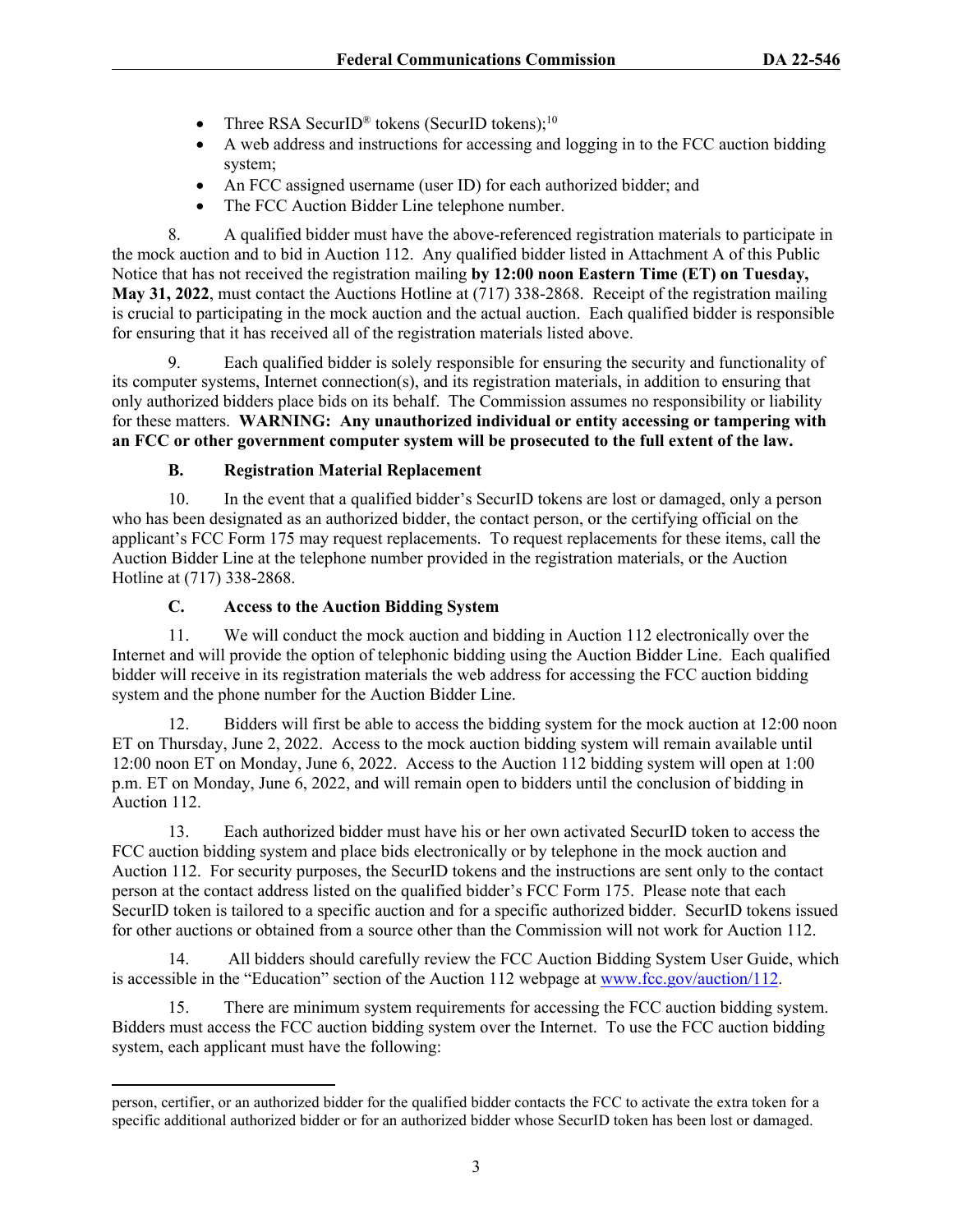- Three RSA SecurID<sup>®</sup> tokens (SecurID tokens);<sup>10</sup>
- A web address and instructions for accessing and logging in to the FCC auction bidding system;
- An FCC assigned username (user ID) for each authorized bidder; and
- The FCC Auction Bidder Line telephone number.

8. A qualified bidder must have the above-referenced registration materials to participate in the mock auction and to bid in Auction 112. Any qualified bidder listed in Attachment A of this Public Notice that has not received the registration mailing **by 12:00 noon Eastern Time (ET) on Tuesday, May 31, 2022**, must contact the Auctions Hotline at (717) 338-2868. Receipt of the registration mailing is crucial to participating in the mock auction and the actual auction. Each qualified bidder is responsible for ensuring that it has received all of the registration materials listed above.

9. Each qualified bidder is solely responsible for ensuring the security and functionality of its computer systems, Internet connection(s), and its registration materials, in addition to ensuring that only authorized bidders place bids on its behalf. The Commission assumes no responsibility or liability for these matters. **WARNING: Any unauthorized individual or entity accessing or tampering with an FCC or other government computer system will be prosecuted to the full extent of the law.**

# **B. Registration Material Replacement**

10. In the event that a qualified bidder's SecurID tokens are lost or damaged, only a person who has been designated as an authorized bidder, the contact person, or the certifying official on the applicant's FCC Form 175 may request replacements. To request replacements for these items, call the Auction Bidder Line at the telephone number provided in the registration materials, or the Auction Hotline at (717) 338-2868.

# **C. Access to the Auction Bidding System**

11. We will conduct the mock auction and bidding in Auction 112 electronically over the Internet and will provide the option of telephonic bidding using the Auction Bidder Line. Each qualified bidder will receive in its registration materials the web address for accessing the FCC auction bidding system and the phone number for the Auction Bidder Line.

12. Bidders will first be able to access the bidding system for the mock auction at 12:00 noon ET on Thursday, June 2, 2022. Access to the mock auction bidding system will remain available until 12:00 noon ET on Monday, June 6, 2022. Access to the Auction 112 bidding system will open at 1:00 p.m. ET on Monday, June 6, 2022, and will remain open to bidders until the conclusion of bidding in Auction 112.

13. Each authorized bidder must have his or her own activated SecurID token to access the FCC auction bidding system and place bids electronically or by telephone in the mock auction and Auction 112. For security purposes, the SecurID tokens and the instructions are sent only to the contact person at the contact address listed on the qualified bidder's FCC Form 175. Please note that each SecurID token is tailored to a specific auction and for a specific authorized bidder. SecurID tokens issued for other auctions or obtained from a source other than the Commission will not work for Auction 112.

14. All bidders should carefully review the FCC Auction Bidding System User Guide, which is accessible in the "Education" section of the Auction 112 webpage at [www.fcc.gov/auction/112](https://www.fcc.gov/auction/112).

15. There are minimum system requirements for accessing the FCC auction bidding system. Bidders must access the FCC auction bidding system over the Internet. To use the FCC auction bidding system, each applicant must have the following:

person, certifier, or an authorized bidder for the qualified bidder contacts the FCC to activate the extra token for a specific additional authorized bidder or for an authorized bidder whose SecurID token has been lost or damaged.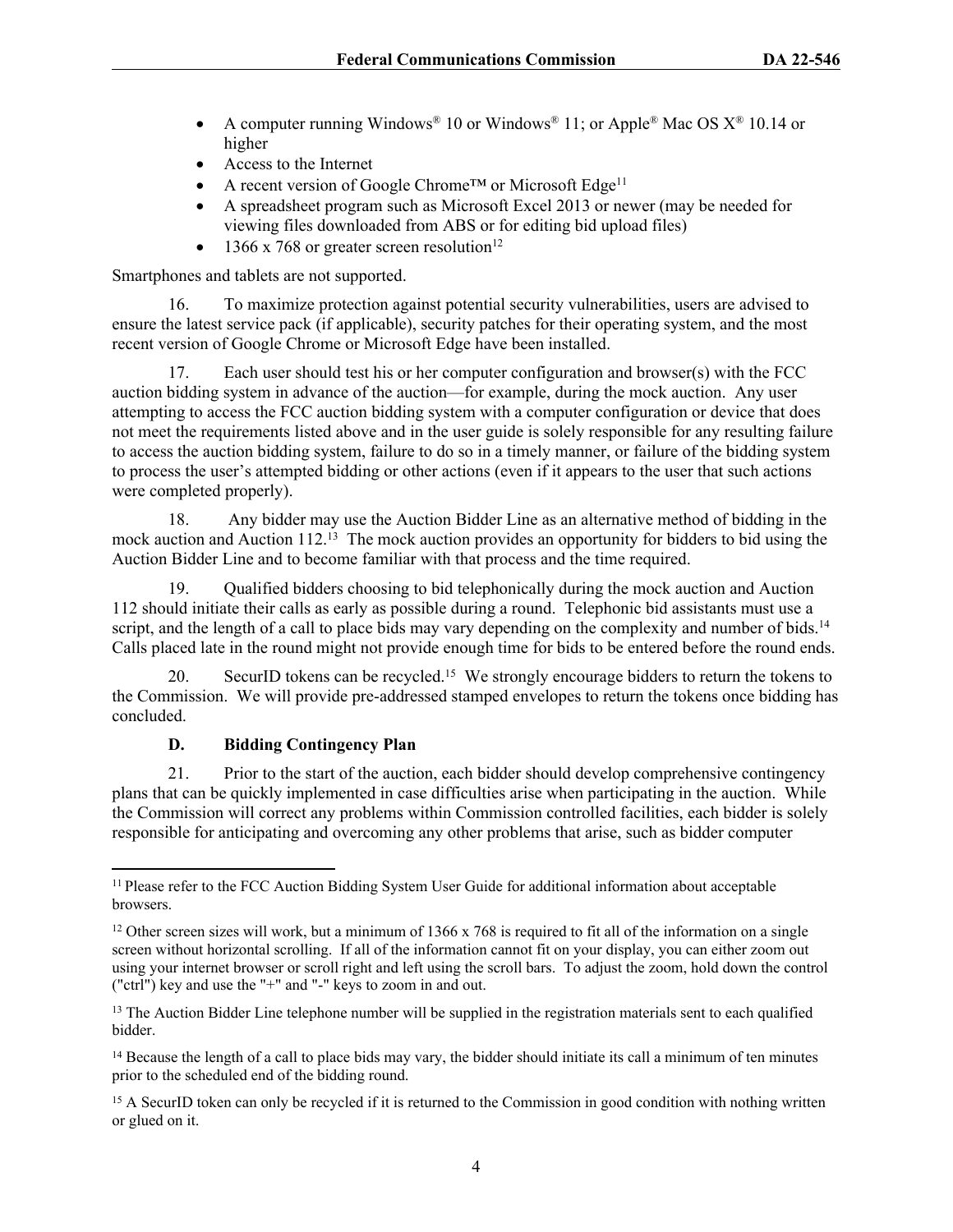- A computer running Windows<sup>®</sup> 10 or Windows<sup>®</sup> 11; or Apple<sup>®</sup> Mac OS  $X$ <sup>®</sup> 10.14 or higher
- Access to the Internet
- A recent version of Google Chrome™ or Microsoft Edge<sup>11</sup>
- A spreadsheet program such as Microsoft Excel 2013 or newer (may be needed for viewing files downloaded from ABS or for editing bid upload files)
- 1366 x 768 or greater screen resolution<sup>12</sup>

Smartphones and tablets are not supported.

16. To maximize protection against potential security vulnerabilities, users are advised to ensure the latest service pack (if applicable), security patches for their operating system, and the most recent version of Google Chrome or Microsoft Edge have been installed.

17. Each user should test his or her computer configuration and browser(s) with the FCC auction bidding system in advance of the auction—for example, during the mock auction. Any user attempting to access the FCC auction bidding system with a computer configuration or device that does not meet the requirements listed above and in the user guide is solely responsible for any resulting failure to access the auction bidding system, failure to do so in a timely manner, or failure of the bidding system to process the user's attempted bidding or other actions (even if it appears to the user that such actions were completed properly).

18. Any bidder may use the Auction Bidder Line as an alternative method of bidding in the mock auction and Auction 112.<sup>13</sup> The mock auction provides an opportunity for bidders to bid using the Auction Bidder Line and to become familiar with that process and the time required.

19. Qualified bidders choosing to bid telephonically during the mock auction and Auction 112 should initiate their calls as early as possible during a round. Telephonic bid assistants must use a script, and the length of a call to place bids may vary depending on the complexity and number of bids.<sup>14</sup> Calls placed late in the round might not provide enough time for bids to be entered before the round ends.

20. SecurID tokens can be recycled.<sup>15</sup> We strongly encourage bidders to return the tokens to the Commission. We will provide pre-addressed stamped envelopes to return the tokens once bidding has concluded.

#### **D. Bidding Contingency Plan**

21. Prior to the start of the auction, each bidder should develop comprehensive contingency plans that can be quickly implemented in case difficulties arise when participating in the auction. While the Commission will correct any problems within Commission controlled facilities, each bidder is solely responsible for anticipating and overcoming any other problems that arise, such as bidder computer

<sup>&</sup>lt;sup>11</sup> Please refer to the FCC Auction Bidding System User Guide for additional information about acceptable browsers.

<sup>&</sup>lt;sup>12</sup> Other screen sizes will work, but a minimum of 1366 x 768 is required to fit all of the information on a single screen without horizontal scrolling. If all of the information cannot fit on your display, you can either zoom out using your internet browser or scroll right and left using the scroll bars. To adjust the zoom, hold down the control ("ctrl") key and use the "+" and "-" keys to zoom in and out.

<sup>&</sup>lt;sup>13</sup> The Auction Bidder Line telephone number will be supplied in the registration materials sent to each qualified bidder.

<sup>&</sup>lt;sup>14</sup> Because the length of a call to place bids may vary, the bidder should initiate its call a minimum of ten minutes prior to the scheduled end of the bidding round.

<sup>&</sup>lt;sup>15</sup> A SecurID token can only be recycled if it is returned to the Commission in good condition with nothing written or glued on it.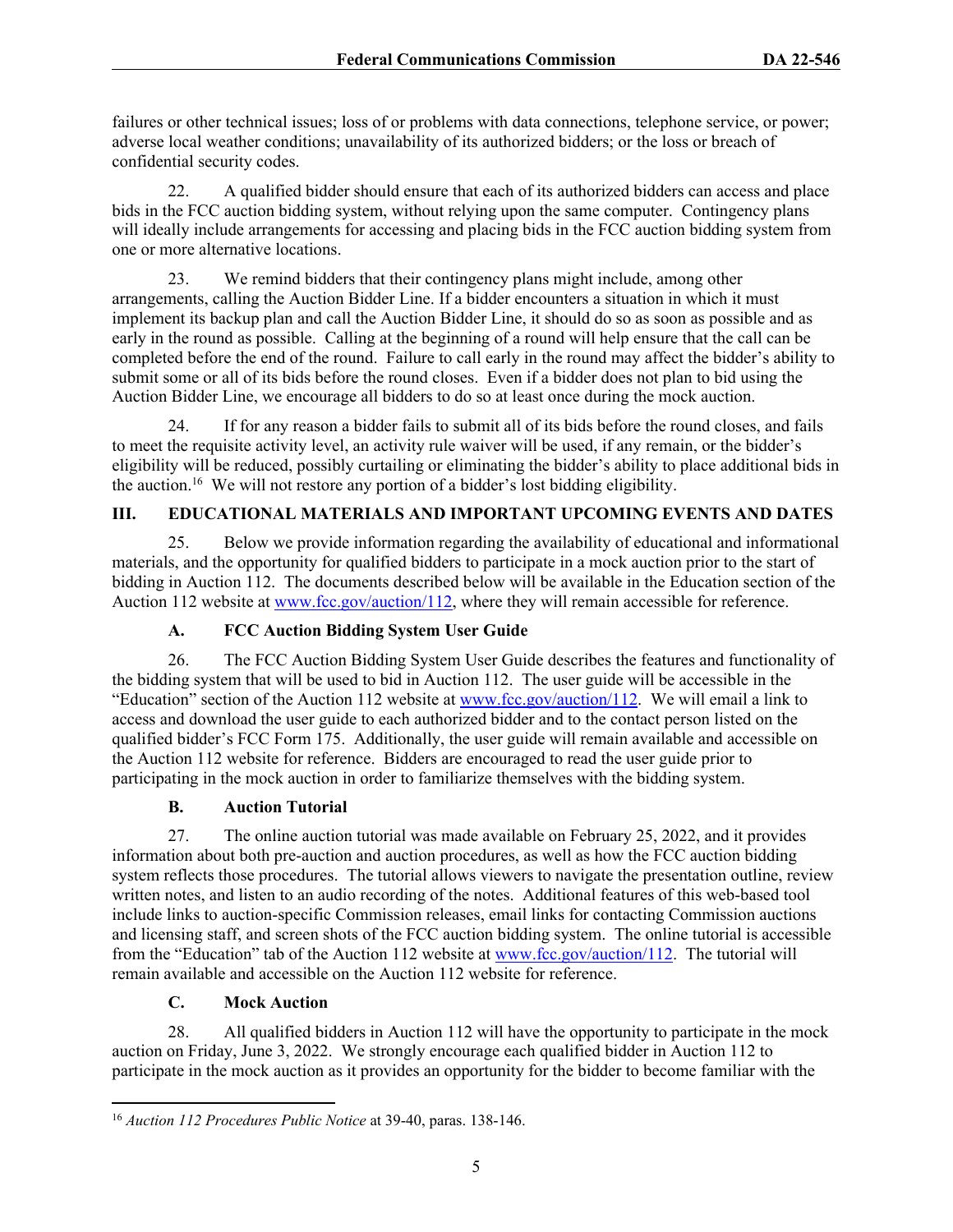failures or other technical issues; loss of or problems with data connections, telephone service, or power; adverse local weather conditions; unavailability of its authorized bidders; or the loss or breach of confidential security codes.

22. A qualified bidder should ensure that each of its authorized bidders can access and place bids in the FCC auction bidding system, without relying upon the same computer. Contingency plans will ideally include arrangements for accessing and placing bids in the FCC auction bidding system from one or more alternative locations.

23. We remind bidders that their contingency plans might include, among other arrangements, calling the Auction Bidder Line. If a bidder encounters a situation in which it must implement its backup plan and call the Auction Bidder Line, it should do so as soon as possible and as early in the round as possible. Calling at the beginning of a round will help ensure that the call can be completed before the end of the round. Failure to call early in the round may affect the bidder's ability to submit some or all of its bids before the round closes. Even if a bidder does not plan to bid using the Auction Bidder Line, we encourage all bidders to do so at least once during the mock auction.

24. If for any reason a bidder fails to submit all of its bids before the round closes, and fails to meet the requisite activity level, an activity rule waiver will be used, if any remain, or the bidder's eligibility will be reduced, possibly curtailing or eliminating the bidder's ability to place additional bids in the auction.<sup>16</sup> We will not restore any portion of a bidder's lost bidding eligibility.

# **III. EDUCATIONAL MATERIALS AND IMPORTANT UPCOMING EVENTS AND DATES**

25. Below we provide information regarding the availability of educational and informational materials, and the opportunity for qualified bidders to participate in a mock auction prior to the start of bidding in Auction 112. The documents described below will be available in the Education section of the Auction 112 website at [www.fcc.gov/auction/112,](https://www.fcc.gov/auction/112) where they will remain accessible for reference.

## **A. FCC Auction Bidding System User Guide**

26. The FCC Auction Bidding System User Guide describes the features and functionality of the bidding system that will be used to bid in Auction 112. The user guide will be accessible in the "Education" section of the Auction 112 website at [www.fcc.gov/auction/112.](https://www.fcc.gov/auction/112) We will email a link to access and download the user guide to each authorized bidder and to the contact person listed on the qualified bidder's FCC Form 175. Additionally, the user guide will remain available and accessible on the Auction 112 website for reference. Bidders are encouraged to read the user guide prior to participating in the mock auction in order to familiarize themselves with the bidding system.

## **B. Auction Tutorial**

27. The online auction tutorial was made available on February 25, 2022, and it provides information about both pre-auction and auction procedures, as well as how the FCC auction bidding system reflects those procedures. The tutorial allows viewers to navigate the presentation outline, review written notes, and listen to an audio recording of the notes. Additional features of this web-based tool include links to auction-specific Commission releases, email links for contacting Commission auctions and licensing staff, and screen shots of the FCC auction bidding system. The online tutorial is accessible from the "Education" tab of the Auction 112 website at [www.fcc.gov/auction/112](https://www.fcc.gov/auction/112). The tutorial will remain available and accessible on the Auction 112 website for reference.

## **C. Mock Auction**

28. All qualified bidders in Auction 112 will have the opportunity to participate in the mock auction on Friday, June 3, 2022. We strongly encourage each qualified bidder in Auction 112 to participate in the mock auction as it provides an opportunity for the bidder to become familiar with the

<sup>16</sup> *Auction 112 Procedures Public Notice* at 39-40, paras. 138-146.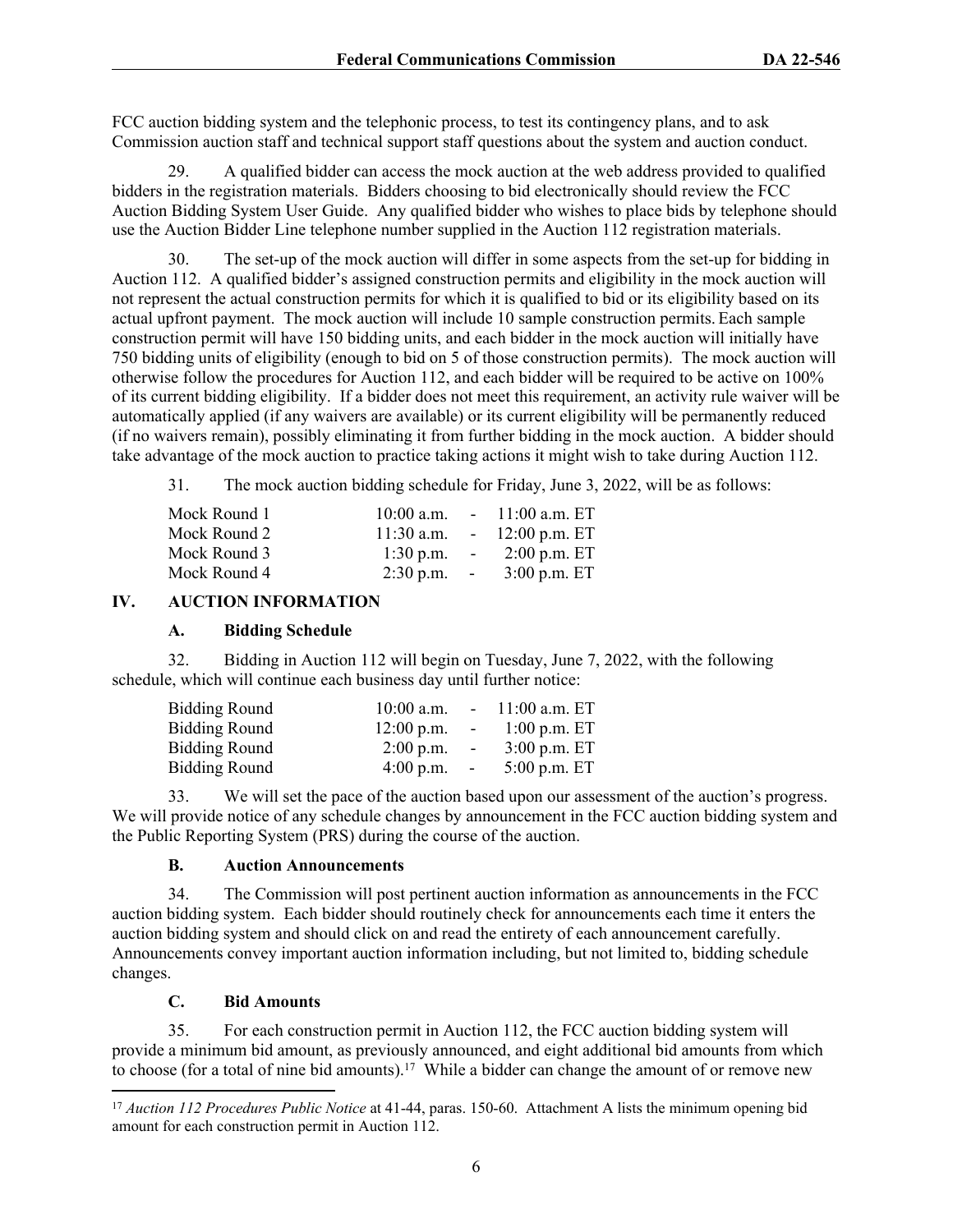FCC auction bidding system and the telephonic process, to test its contingency plans, and to ask Commission auction staff and technical support staff questions about the system and auction conduct.

29. A qualified bidder can access the mock auction at the web address provided to qualified bidders in the registration materials. Bidders choosing to bid electronically should review the FCC Auction Bidding System User Guide. Any qualified bidder who wishes to place bids by telephone should use the Auction Bidder Line telephone number supplied in the Auction 112 registration materials.

30. The set-up of the mock auction will differ in some aspects from the set-up for bidding in Auction 112. A qualified bidder's assigned construction permits and eligibility in the mock auction will not represent the actual construction permits for which it is qualified to bid or its eligibility based on its actual upfront payment. The mock auction will include 10 sample construction permits. Each sample construction permit will have 150 bidding units, and each bidder in the mock auction will initially have 750 bidding units of eligibility (enough to bid on 5 of those construction permits). The mock auction will otherwise follow the procedures for Auction 112, and each bidder will be required to be active on 100% of its current bidding eligibility. If a bidder does not meet this requirement, an activity rule waiver will be automatically applied (if any waivers are available) or its current eligibility will be permanently reduced (if no waivers remain), possibly eliminating it from further bidding in the mock auction. A bidder should take advantage of the mock auction to practice taking actions it might wish to take during Auction 112.

31. The mock auction bidding schedule for Friday, June 3, 2022, will be as follows:

| Mock Round 1 |              |                 | $10:00$ a.m. $-11:00$ a.m. ET |
|--------------|--------------|-----------------|-------------------------------|
| Mock Round 2 | $11:30$ a.m. |                 | $-12:00$ p.m. ET              |
| Mock Round 3 | $1:30$ p.m.  | $\sim 100$      | $2:00$ p.m. ET                |
| Mock Round 4 | $2:30$ p.m.  | $\sim 10^{-10}$ | $3:00$ p.m. ET                |

#### **IV. AUCTION INFORMATION**

#### **A. Bidding Schedule**

32. Bidding in Auction 112 will begin on Tuesday, June 7, 2022, with the following schedule, which will continue each business day until further notice:

| <b>Bidding Round</b> | $10:00$ a.m. |            | $-11:00$ a.m. ET |
|----------------------|--------------|------------|------------------|
| <b>Bidding Round</b> | $12:00$ p.m. | $\sim$     | $1:00$ p.m. ET   |
| Bidding Round        | $2:00$ p.m.  | $\sim$ $-$ | $3:00$ p.m. ET   |
| Bidding Round        | $4:00$ p.m.  | $\sim$     | $5:00$ p.m. ET   |

33. We will set the pace of the auction based upon our assessment of the auction's progress. We will provide notice of any schedule changes by announcement in the FCC auction bidding system and the Public Reporting System (PRS) during the course of the auction.

#### **B. Auction Announcements**

34. The Commission will post pertinent auction information as announcements in the FCC auction bidding system. Each bidder should routinely check for announcements each time it enters the auction bidding system and should click on and read the entirety of each announcement carefully. Announcements convey important auction information including, but not limited to, bidding schedule changes.

## **C. Bid Amounts**

35. For each construction permit in Auction 112, the FCC auction bidding system will provide a minimum bid amount, as previously announced, and eight additional bid amounts from which to choose (for a total of nine bid amounts).<sup>17</sup> While a bidder can change the amount of or remove new

<sup>&</sup>lt;sup>17</sup> *Auction 112 Procedures Public Notice* at 41-44, paras. 150-60. Attachment A lists the minimum opening bid amount for each construction permit in Auction 112.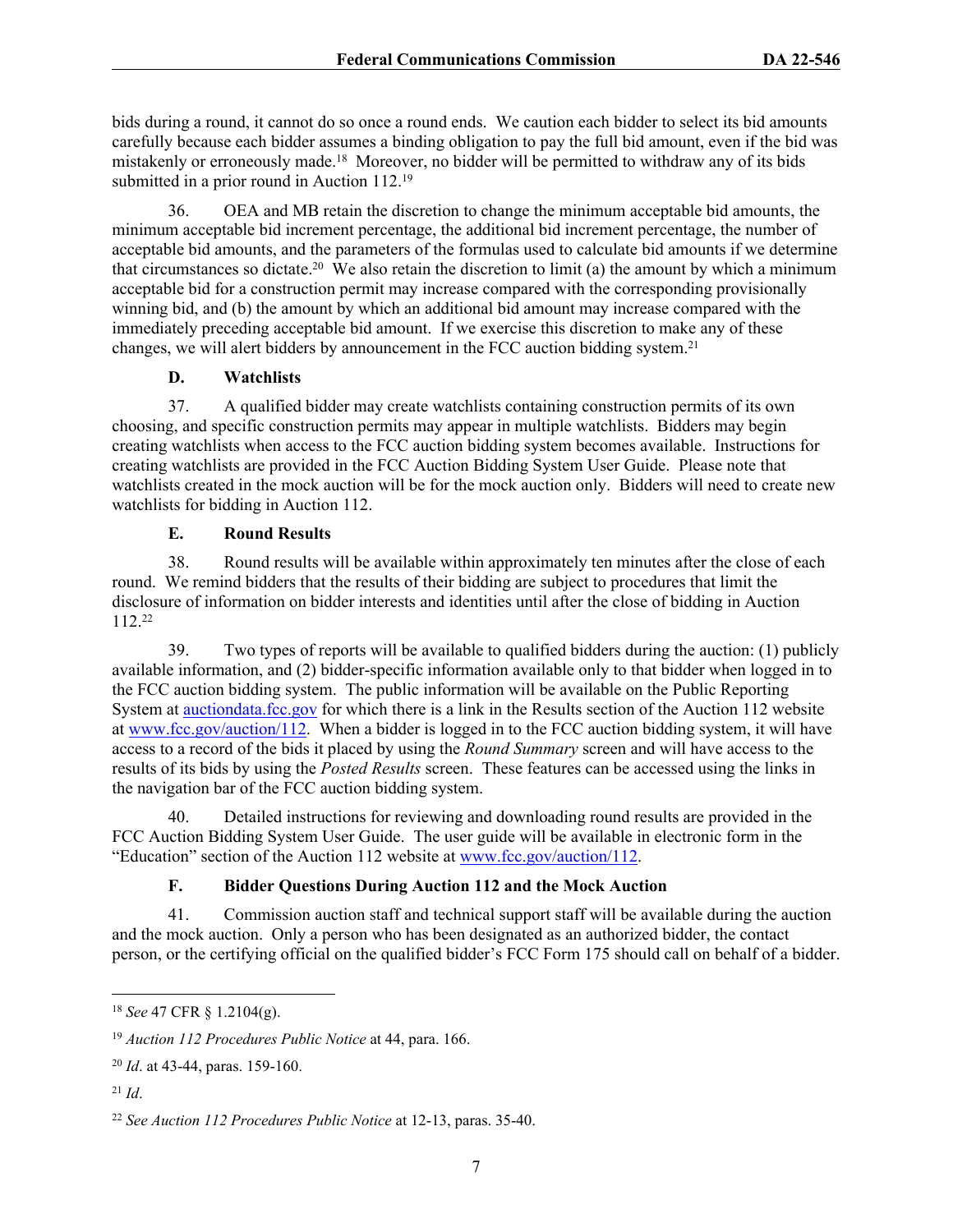bids during a round, it cannot do so once a round ends. We caution each bidder to select its bid amounts carefully because each bidder assumes a binding obligation to pay the full bid amount, even if the bid was mistakenly or erroneously made.<sup>18</sup> Moreover, no bidder will be permitted to withdraw any of its bids submitted in a prior round in Auction 112.<sup>19</sup>

36. OEA and MB retain the discretion to change the minimum acceptable bid amounts, the minimum acceptable bid increment percentage, the additional bid increment percentage, the number of acceptable bid amounts, and the parameters of the formulas used to calculate bid amounts if we determine that circumstances so dictate.<sup>20</sup> We also retain the discretion to limit (a) the amount by which a minimum acceptable bid for a construction permit may increase compared with the corresponding provisionally winning bid, and (b) the amount by which an additional bid amount may increase compared with the immediately preceding acceptable bid amount. If we exercise this discretion to make any of these changes, we will alert bidders by announcement in the FCC auction bidding system.<sup>21</sup>

## **D. Watchlists**

37. A qualified bidder may create watchlists containing construction permits of its own choosing, and specific construction permits may appear in multiple watchlists. Bidders may begin creating watchlists when access to the FCC auction bidding system becomes available. Instructions for creating watchlists are provided in the FCC Auction Bidding System User Guide. Please note that watchlists created in the mock auction will be for the mock auction only. Bidders will need to create new watchlists for bidding in Auction 112.

## **E. Round Results**

38. Round results will be available within approximately ten minutes after the close of each round. We remind bidders that the results of their bidding are subject to procedures that limit the disclosure of information on bidder interests and identities until after the close of bidding in Auction 112.<sup>22</sup>

39. Two types of reports will be available to qualified bidders during the auction: (1) publicly available information, and (2) bidder-specific information available only to that bidder when logged in to the FCC auction bidding system. The public information will be available on the Public Reporting System at [auctiondata.fcc.gov](https://auctiondata.fcc.gov/) for which there is a link in the Results section of the Auction 112 website at [www.fcc.gov/auction/112.](https://www.fcc.gov/auction/112) When a bidder is logged in to the FCC auction bidding system, it will have access to a record of the bids it placed by using the *Round Summary* screen and will have access to the results of its bids by using the *Posted Results* screen. These features can be accessed using the links in the navigation bar of the FCC auction bidding system.

40. Detailed instructions for reviewing and downloading round results are provided in the FCC Auction Bidding System User Guide. The user guide will be available in electronic form in the "Education" section of the Auction 112 website at [www.fcc.gov/auction/112.](https://www.fcc.gov/auction/112)

# **F. Bidder Questions During Auction 112 and the Mock Auction**

41. Commission auction staff and technical support staff will be available during the auction and the mock auction. Only a person who has been designated as an authorized bidder, the contact person, or the certifying official on the qualified bidder's FCC Form 175 should call on behalf of a bidder.

<sup>18</sup> *See* 47 CFR § 1.2104(g).

<sup>19</sup> *Auction 112 Procedures Public Notice* at 44, para. 166.

<sup>20</sup> *Id*. at 43-44, paras. 159-160.

 $^{21}$  *Id*.

<sup>22</sup> *See Auction 112 Procedures Public Notice* at 12-13, paras. 35-40.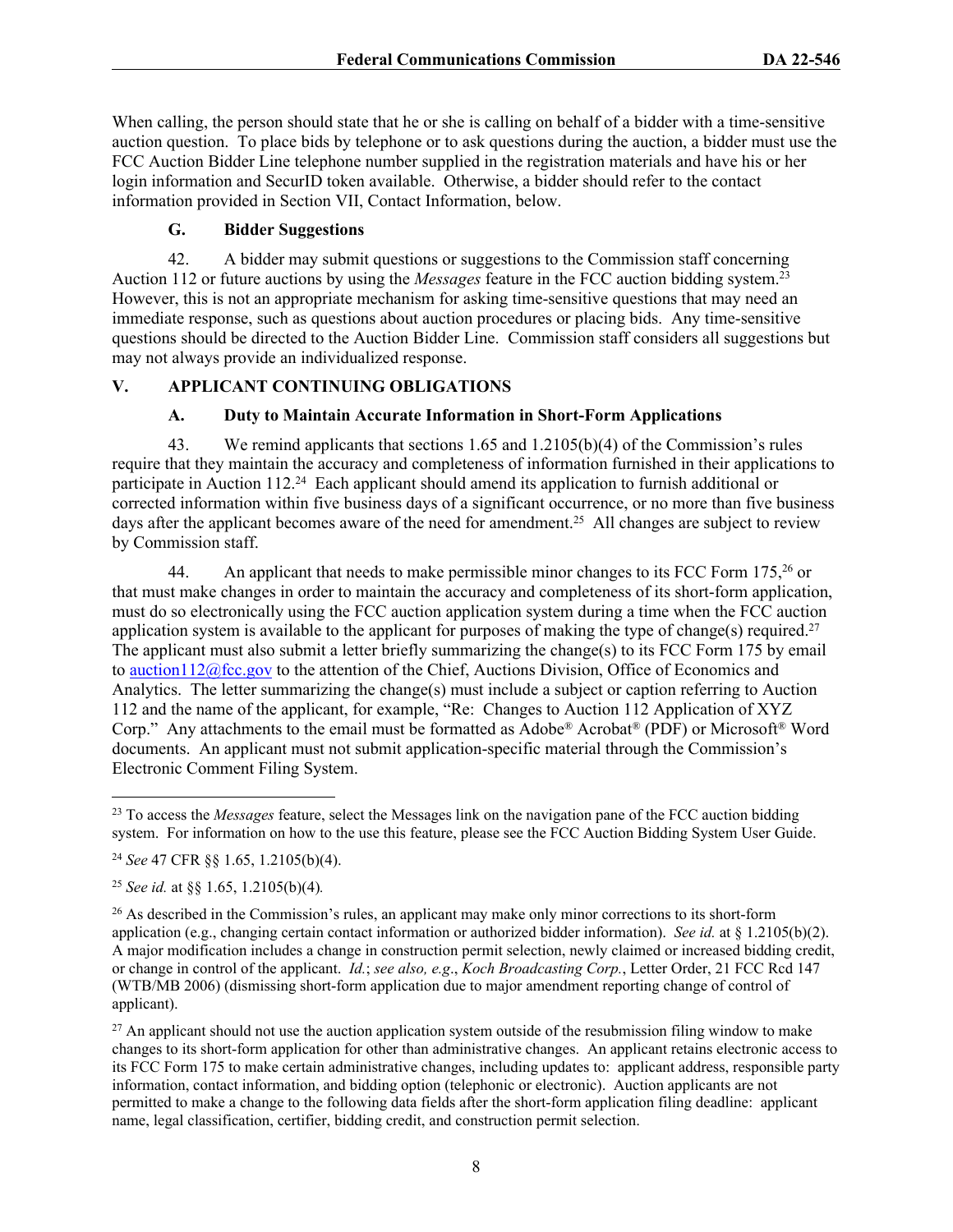When calling, the person should state that he or she is calling on behalf of a bidder with a time-sensitive auction question. To place bids by telephone or to ask questions during the auction, a bidder must use the FCC Auction Bidder Line telephone number supplied in the registration materials and have his or her login information and SecurID token available. Otherwise, a bidder should refer to the contact information provided in Section VII, Contact Information, below.

#### **G. Bidder Suggestions**

42. A bidder may submit questions or suggestions to the Commission staff concerning Auction 112 or future auctions by using the *Messages* feature in the FCC auction bidding system.<sup>23</sup> However, this is not an appropriate mechanism for asking time-sensitive questions that may need an immediate response, such as questions about auction procedures or placing bids. Any time-sensitive questions should be directed to the Auction Bidder Line. Commission staff considers all suggestions but may not always provide an individualized response.

# **V. APPLICANT CONTINUING OBLIGATIONS**

## **A. Duty to Maintain Accurate Information in Short-Form Applications**

43. We remind applicants that sections 1.65 and 1.2105(b)(4) of the Commission's rules require that they maintain the accuracy and completeness of information furnished in their applications to participate in Auction 112.<sup>24</sup> Each applicant should amend its application to furnish additional or corrected information within five business days of a significant occurrence, or no more than five business days after the applicant becomes aware of the need for amendment.<sup>25</sup> All changes are subject to review by Commission staff.

44. An applicant that needs to make permissible minor changes to its FCC Form 175,<sup>26</sup> or that must make changes in order to maintain the accuracy and completeness of its short-form application, must do so electronically using the FCC auction application system during a time when the FCC auction application system is available to the applicant for purposes of making the type of change(s) required.<sup>27</sup> The applicant must also submit a letter briefly summarizing the change(s) to its FCC Form 175 by email to [auction112@fcc.gov](mailto:auction112@fcc.gov) to the attention of the Chief, Auctions Division, Office of Economics and Analytics. The letter summarizing the change(s) must include a subject or caption referring to Auction 112 and the name of the applicant, for example, "Re: Changes to Auction 112 Application of XYZ Corp." Any attachments to the email must be formatted as Adobe® Acrobat® (PDF) or Microsoft® Word documents. An applicant must not submit application-specific material through the Commission's Electronic Comment Filing System.

<sup>25</sup> *See id.* at §§ 1.65, 1.2105(b)(4)*.*

<sup>23</sup> To access the *Messages* feature, select the Messages link on the navigation pane of the FCC auction bidding system. For information on how to the use this feature, please see the FCC Auction Bidding System User Guide.

<sup>24</sup> *See* 47 CFR §§ 1.65, 1.2105(b)(4).

<sup>&</sup>lt;sup>26</sup> As described in the Commission's rules, an applicant may make only minor corrections to its short-form application (e.g., changing certain contact information or authorized bidder information). *See id.* at § 1.2105(b)(2). A major modification includes a change in construction permit selection, newly claimed or increased bidding credit, or change in control of the applicant. *Id.*; *see also, e.g*., *Koch Broadcasting Corp.*, Letter Order, 21 FCC Rcd 147 (WTB/MB 2006) (dismissing short-form application due to major amendment reporting change of control of applicant).

 $27$  An applicant should not use the auction application system outside of the resubmission filing window to make changes to its short-form application for other than administrative changes. An applicant retains electronic access to its FCC Form 175 to make certain administrative changes, including updates to: applicant address, responsible party information, contact information, and bidding option (telephonic or electronic).Auction applicants are not permitted to make a change to the following data fields after the short-form application filing deadline: applicant name, legal classification, certifier, bidding credit, and construction permit selection.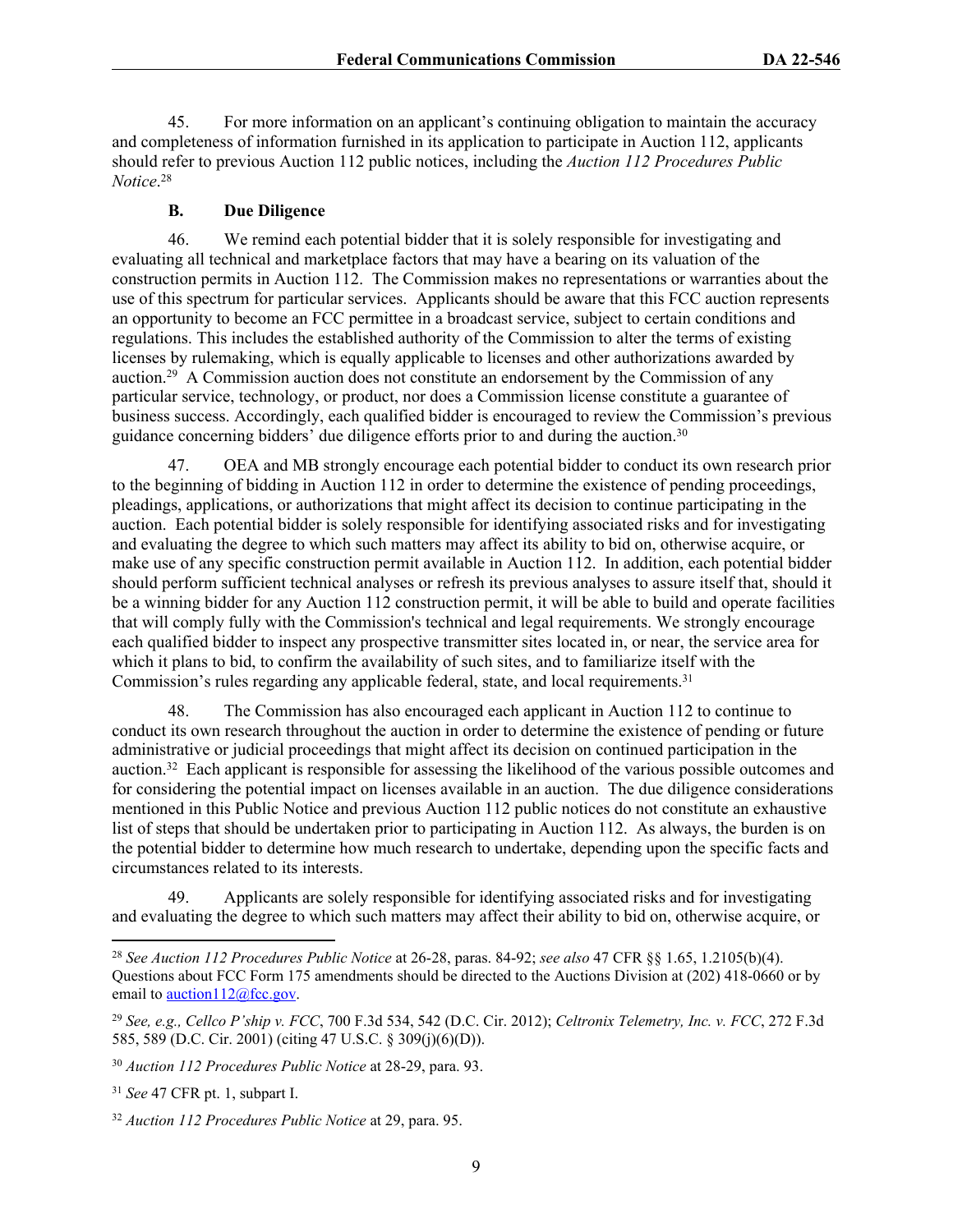45. For more information on an applicant's continuing obligation to maintain the accuracy and completeness of information furnished in its application to participate in Auction 112, applicants should refer to previous Auction 112 public notices, including the *Auction 112 Procedures Public Notice*. 28

#### **B. Due Diligence**

46. We remind each potential bidder that it is solely responsible for investigating and evaluating all technical and marketplace factors that may have a bearing on its valuation of the construction permits in Auction 112. The Commission makes no representations or warranties about the use of this spectrum for particular services. Applicants should be aware that this FCC auction represents an opportunity to become an FCC permittee in a broadcast service, subject to certain conditions and regulations. This includes the established authority of the Commission to alter the terms of existing licenses by rulemaking, which is equally applicable to licenses and other authorizations awarded by auction.<sup>29</sup> A Commission auction does not constitute an endorsement by the Commission of any particular service, technology, or product, nor does a Commission license constitute a guarantee of business success. Accordingly, each qualified bidder is encouraged to review the Commission's previous guidance concerning bidders' due diligence efforts prior to and during the auction.<sup>30</sup>

47. OEA and MB strongly encourage each potential bidder to conduct its own research prior to the beginning of bidding in Auction 112 in order to determine the existence of pending proceedings, pleadings, applications, or authorizations that might affect its decision to continue participating in the auction. Each potential bidder is solely responsible for identifying associated risks and for investigating and evaluating the degree to which such matters may affect its ability to bid on, otherwise acquire, or make use of any specific construction permit available in Auction 112. In addition, each potential bidder should perform sufficient technical analyses or refresh its previous analyses to assure itself that, should it be a winning bidder for any Auction 112 construction permit, it will be able to build and operate facilities that will comply fully with the Commission's technical and legal requirements. We strongly encourage each qualified bidder to inspect any prospective transmitter sites located in, or near, the service area for which it plans to bid, to confirm the availability of such sites, and to familiarize itself with the Commission's rules regarding any applicable federal, state, and local requirements.<sup>31</sup>

48. The Commission has also encouraged each applicant in Auction 112 to continue to conduct its own research throughout the auction in order to determine the existence of pending or future administrative or judicial proceedings that might affect its decision on continued participation in the auction.<sup>32</sup> Each applicant is responsible for assessing the likelihood of the various possible outcomes and for considering the potential impact on licenses available in an auction. The due diligence considerations mentioned in this Public Notice and previous Auction 112 public notices do not constitute an exhaustive list of steps that should be undertaken prior to participating in Auction 112. As always, the burden is on the potential bidder to determine how much research to undertake, depending upon the specific facts and circumstances related to its interests.

49. Applicants are solely responsible for identifying associated risks and for investigating and evaluating the degree to which such matters may affect their ability to bid on, otherwise acquire, or

<sup>28</sup> *See Auction 112 Procedures Public Notice* at 26-28, paras. 84-92; *see also* 47 CFR §§ 1.65, 1.2105(b)(4). Questions about FCC Form 175 amendments should be directed to the Auctions Division at (202) 418-0660 or by email to  $\arctan 112$  (*a*) fcc.gov.

<sup>29</sup> *See, e.g., Cellco P'ship v. FCC*, 700 F.3d 534, 542 (D.C. Cir. 2012); *Celtronix Telemetry, Inc. v. FCC*, 272 F.3d 585, 589 (D.C. Cir. 2001) (citing 47 U.S.C. § 309(j)(6)(D)).

<sup>30</sup> *Auction 112 Procedures Public Notice* at 28-29, para. 93.

<sup>31</sup> *See* 47 CFR pt. 1, subpart I.

<sup>32</sup> *Auction 112 Procedures Public Notice* at 29, para. 95.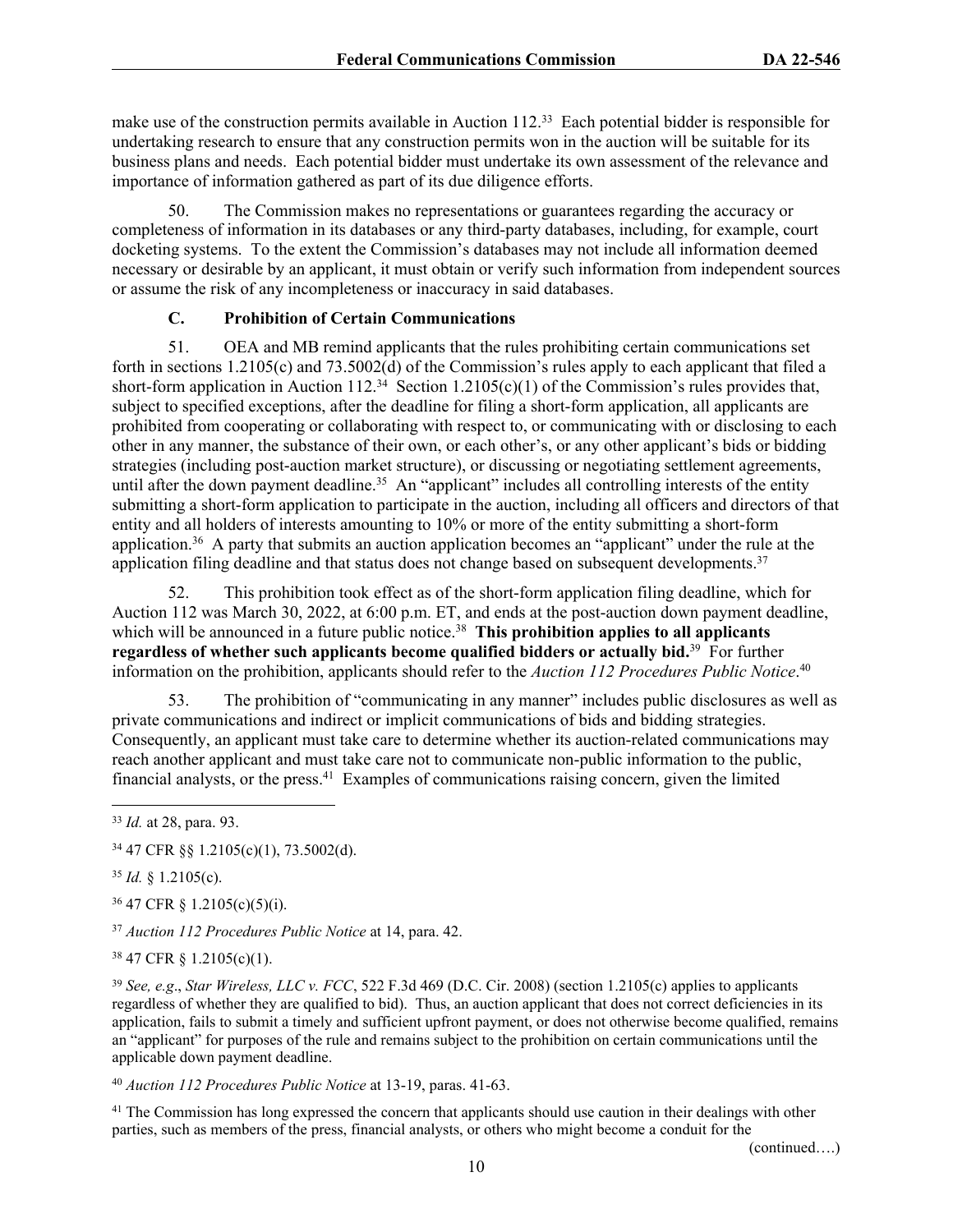make use of the construction permits available in Auction 112.<sup>33</sup> Each potential bidder is responsible for undertaking research to ensure that any construction permits won in the auction will be suitable for its business plans and needs. Each potential bidder must undertake its own assessment of the relevance and importance of information gathered as part of its due diligence efforts.

50. The Commission makes no representations or guarantees regarding the accuracy or completeness of information in its databases or any third-party databases, including, for example, court docketing systems. To the extent the Commission's databases may not include all information deemed necessary or desirable by an applicant, it must obtain or verify such information from independent sources or assume the risk of any incompleteness or inaccuracy in said databases.

## **C. Prohibition of Certain Communications**

51. OEA and MB remind applicants that the rules prohibiting certain communications set forth in sections 1.2105(c) and 73.5002(d) of the Commission's rules apply to each applicant that filed a short-form application in Auction 112.<sup>34</sup> Section 1.2105(c)(1) of the Commission's rules provides that, subject to specified exceptions, after the deadline for filing a short-form application, all applicants are prohibited from cooperating or collaborating with respect to, or communicating with or disclosing to each other in any manner, the substance of their own, or each other's, or any other applicant's bids or bidding strategies (including post-auction market structure), or discussing or negotiating settlement agreements, until after the down payment deadline.<sup>35</sup> An "applicant" includes all controlling interests of the entity submitting a short-form application to participate in the auction, including all officers and directors of that entity and all holders of interests amounting to 10% or more of the entity submitting a short-form application.<sup>36</sup> A party that submits an auction application becomes an "applicant" under the rule at the application filing deadline and that status does not change based on subsequent developments.<sup>37</sup>

52. This prohibition took effect as of the short-form application filing deadline, which for Auction 112 was March 30, 2022, at 6:00 p.m. ET, and ends at the post-auction down payment deadline, which will be announced in a future public notice.<sup>38</sup> This prohibition applies to all applicants **regardless of whether such applicants become qualified bidders or actually bid.**<sup>39</sup> For further information on the prohibition, applicants should refer to the *Auction 112 Procedures Public Notice*. 40

53. The prohibition of "communicating in any manner" includes public disclosures as well as private communications and indirect or implicit communications of bids and bidding strategies. Consequently, an applicant must take care to determine whether its auction-related communications may reach another applicant and must take care not to communicate non-public information to the public, financial analysts, or the press.<sup>41</sup> Examples of communications raising concern, given the limited

<sup>35</sup> *Id.* § 1.2105(c).

<sup>36</sup> 47 CFR § 1.2105(c)(5)(i).

<sup>37</sup> *Auction 112 Procedures Public Notice* at 14, para. 42.

<sup>38</sup> 47 CFR § 1.2105(c)(1).

<sup>39</sup> *See, e.g*., *Star Wireless, LLC v. FCC*, 522 F.3d 469 (D.C. Cir. 2008) (section 1.2105(c) applies to applicants regardless of whether they are qualified to bid). Thus, an auction applicant that does not correct deficiencies in its application, fails to submit a timely and sufficient upfront payment, or does not otherwise become qualified, remains an "applicant" for purposes of the rule and remains subject to the prohibition on certain communications until the applicable down payment deadline.

<sup>40</sup> *Auction 112 Procedures Public Notice* at 13-19, paras. 41-63.

<sup>41</sup> The Commission has long expressed the concern that applicants should use caution in their dealings with other parties, such as members of the press, financial analysts, or others who might become a conduit for the

(continued….)

<sup>33</sup> *Id.* at 28, para. 93.

<sup>34</sup> 47 CFR §§ 1.2105(c)(1), 73.5002(d).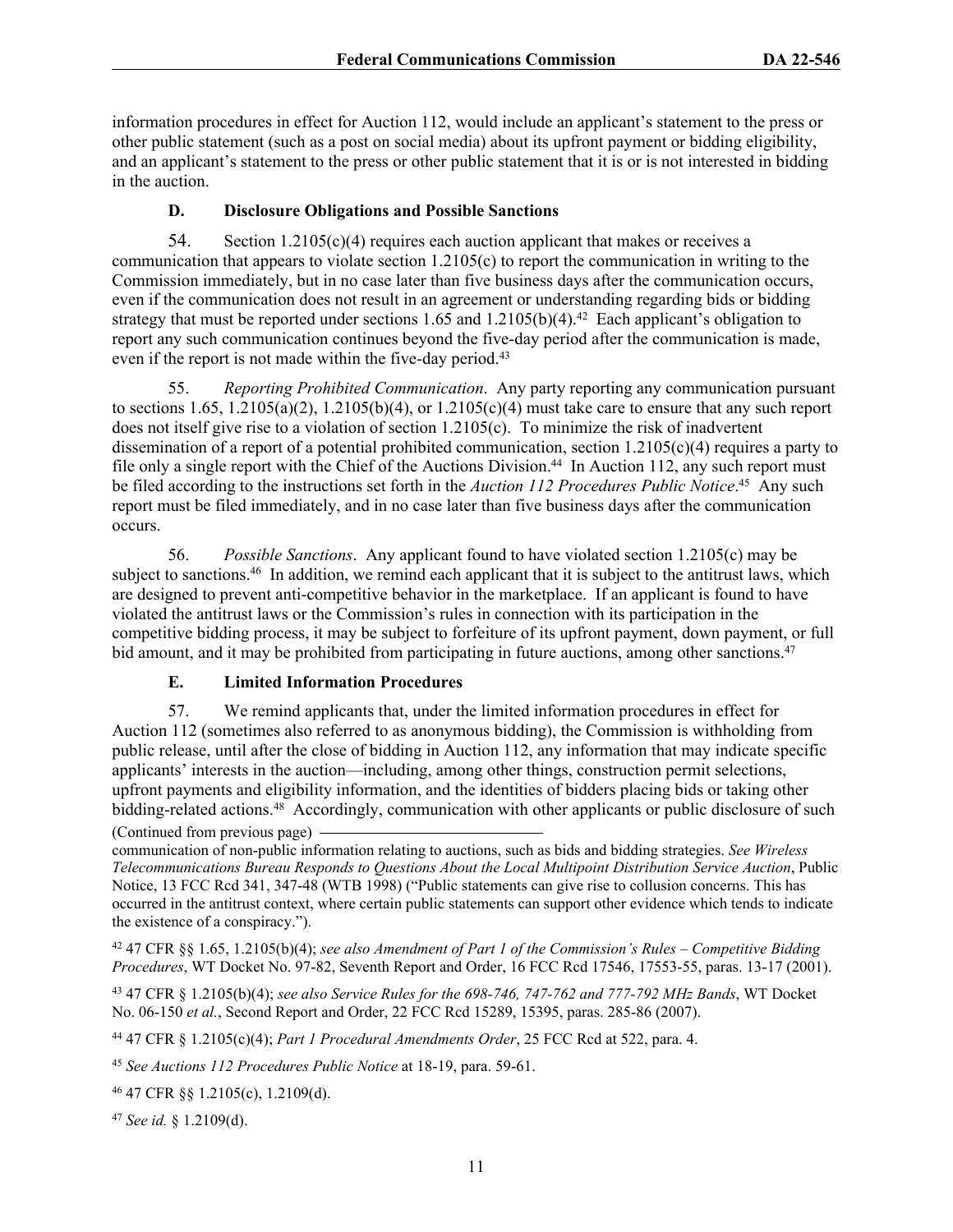information procedures in effect for Auction 112, would include an applicant's statement to the press or other public statement (such as a post on social media) about its upfront payment or bidding eligibility, and an applicant's statement to the press or other public statement that it is or is not interested in bidding in the auction.

## **D. Disclosure Obligations and Possible Sanctions**

54. Section 1.2105(c)(4) requires each auction applicant that makes or receives a communication that appears to violate section 1.2105(c) to report the communication in writing to the Commission immediately, but in no case later than five business days after the communication occurs, even if the communication does not result in an agreement or understanding regarding bids or bidding strategy that must be reported under sections  $1.65$  and  $1.2105(b)(4)$ .<sup>42</sup> Each applicant's obligation to report any such communication continues beyond the five-day period after the communication is made, even if the report is not made within the five-day period.<sup>43</sup>

55. *Reporting Prohibited Communication*. Any party reporting any communication pursuant to sections  $1.65$ ,  $1.2105(a)(2)$ ,  $1.2105(b)(4)$ , or  $1.2105(c)(4)$  must take care to ensure that any such report does not itself give rise to a violation of section 1.2105(c). To minimize the risk of inadvertent dissemination of a report of a potential prohibited communication, section 1.2105(c)(4) requires a party to file only a single report with the Chief of the Auctions Division.<sup>44</sup> In Auction 112, any such report must be filed according to the instructions set forth in the *Auction 112 Procedures Public Notice*. <sup>45</sup> Any such report must be filed immediately, and in no case later than five business days after the communication occurs.

56. *Possible Sanctions*. Any applicant found to have violated section 1.2105(c) may be subject to sanctions.<sup>46</sup> In addition, we remind each applicant that it is subject to the antitrust laws, which are designed to prevent anti-competitive behavior in the marketplace. If an applicant is found to have violated the antitrust laws or the Commission's rules in connection with its participation in the competitive bidding process, it may be subject to forfeiture of its upfront payment, down payment, or full bid amount, and it may be prohibited from participating in future auctions, among other sanctions.<sup>47</sup>

## **E. Limited Information Procedures**

57. We remind applicants that, under the limited information procedures in effect for Auction 112 (sometimes also referred to as anonymous bidding), the Commission is withholding from public release, until after the close of bidding in Auction 112, any information that may indicate specific applicants' interests in the auction—including, among other things, construction permit selections, upfront payments and eligibility information, and the identities of bidders placing bids or taking other bidding-related actions.<sup>48</sup> Accordingly, communication with other applicants or public disclosure of such (Continued from previous page)

communication of non-public information relating to auctions, such as bids and bidding strategies. *See Wireless Telecommunications Bureau Responds to Questions About the Local Multipoint Distribution Service Auction*, Public Notice, 13 FCC Rcd 341, 347-48 (WTB 1998) ("Public statements can give rise to collusion concerns. This has occurred in the antitrust context, where certain public statements can support other evidence which tends to indicate the existence of a conspiracy.").

<sup>42</sup> 47 CFR §§ 1.65, 1.2105(b)(4); *see also Amendment of Part 1 of the Commission's Rules – Competitive Bidding Procedures*, WT Docket No. 97-82, Seventh Report and Order, 16 FCC Rcd 17546, 17553-55, paras. 13-17 (2001).

<sup>43</sup> 47 CFR § 1.2105(b)(4); *see also Service Rules for the 698-746, 747-762 and 777-792 MHz Bands*, WT Docket No. 06-150 *et al.*, Second Report and Order, 22 FCC Rcd 15289, 15395, paras. 285-86 (2007).

<sup>44</sup> 47 CFR § 1.2105(c)(4); *Part 1 Procedural Amendments Order*, 25 FCC Rcd at 522, para. 4.

<sup>45</sup> *See Auctions 112 Procedures Public Notice* at 18-19, para. 59-61.

<sup>46</sup> 47 CFR §§ 1.2105(c), 1.2109(d).

<sup>47</sup> *See id.* § 1.2109(d).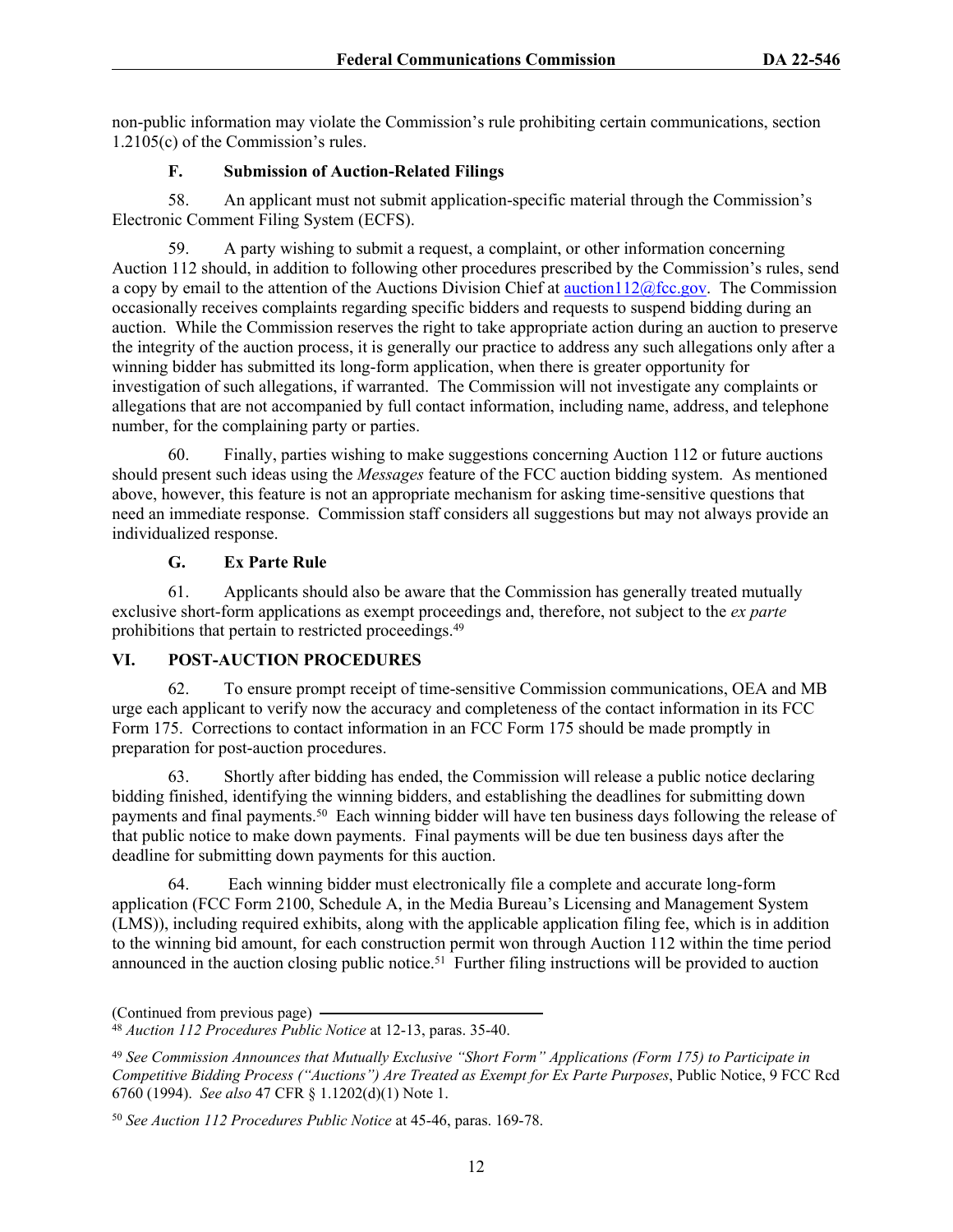non-public information may violate the Commission's rule prohibiting certain communications, section 1.2105(c) of the Commission's rules.

# **F. Submission of Auction-Related Filings**

58. An applicant must not submit application-specific material through the Commission's Electronic Comment Filing System (ECFS).

59. A party wishing to submit a request, a complaint, or other information concerning Auction 112 should, in addition to following other procedures prescribed by the Commission's rules, send a copy by email to the attention of the Auctions Division Chief at [auction112@fcc.gov](mailto:auction112@fcc.gov). The Commission occasionally receives complaints regarding specific bidders and requests to suspend bidding during an auction. While the Commission reserves the right to take appropriate action during an auction to preserve the integrity of the auction process, it is generally our practice to address any such allegations only after a winning bidder has submitted its long-form application, when there is greater opportunity for investigation of such allegations, if warranted. The Commission will not investigate any complaints or allegations that are not accompanied by full contact information, including name, address, and telephone number, for the complaining party or parties.

60. Finally, parties wishing to make suggestions concerning Auction 112 or future auctions should present such ideas using the *Messages* feature of the FCC auction bidding system. As mentioned above, however, this feature is not an appropriate mechanism for asking time-sensitive questions that need an immediate response. Commission staff considers all suggestions but may not always provide an individualized response.

## **G. Ex Parte Rule**

61. Applicants should also be aware that the Commission has generally treated mutually exclusive short-form applications as exempt proceedings and, therefore, not subject to the *ex parte* prohibitions that pertain to restricted proceedings.<sup>49</sup>

# **VI. POST-AUCTION PROCEDURES**

62. To ensure prompt receipt of time-sensitive Commission communications, OEA and MB urge each applicant to verify now the accuracy and completeness of the contact information in its FCC Form 175. Corrections to contact information in an FCC Form 175 should be made promptly in preparation for post-auction procedures.

63. Shortly after bidding has ended, the Commission will release a public notice declaring bidding finished, identifying the winning bidders, and establishing the deadlines for submitting down payments and final payments.<sup>50</sup> Each winning bidder will have ten business days following the release of that public notice to make down payments. Final payments will be due ten business days after the deadline for submitting down payments for this auction.

64. Each winning bidder must electronically file a complete and accurate long-form application (FCC Form 2100, Schedule A, in the Media Bureau's Licensing and Management System (LMS)), including required exhibits, along with the applicable application filing fee, which is in addition to the winning bid amount, for each construction permit won through Auction 112 within the time period announced in the auction closing public notice.<sup>51</sup> Further filing instructions will be provided to auction

<sup>(</sup>Continued from previous page)

<sup>48</sup> *Auction 112 Procedures Public Notice* at 12-13, paras. 35-40.

<sup>49</sup> *See Commission Announces that Mutually Exclusive "Short Form" Applications (Form 175) to Participate in Competitive Bidding Process ("Auctions") Are Treated as Exempt for Ex Parte Purposes*, Public Notice, 9 FCC Rcd 6760 (1994). *See also* 47 CFR § 1.1202(d)(1) Note 1.

<sup>50</sup> *See Auction 112 Procedures Public Notice* at 45-46, paras. 169-78.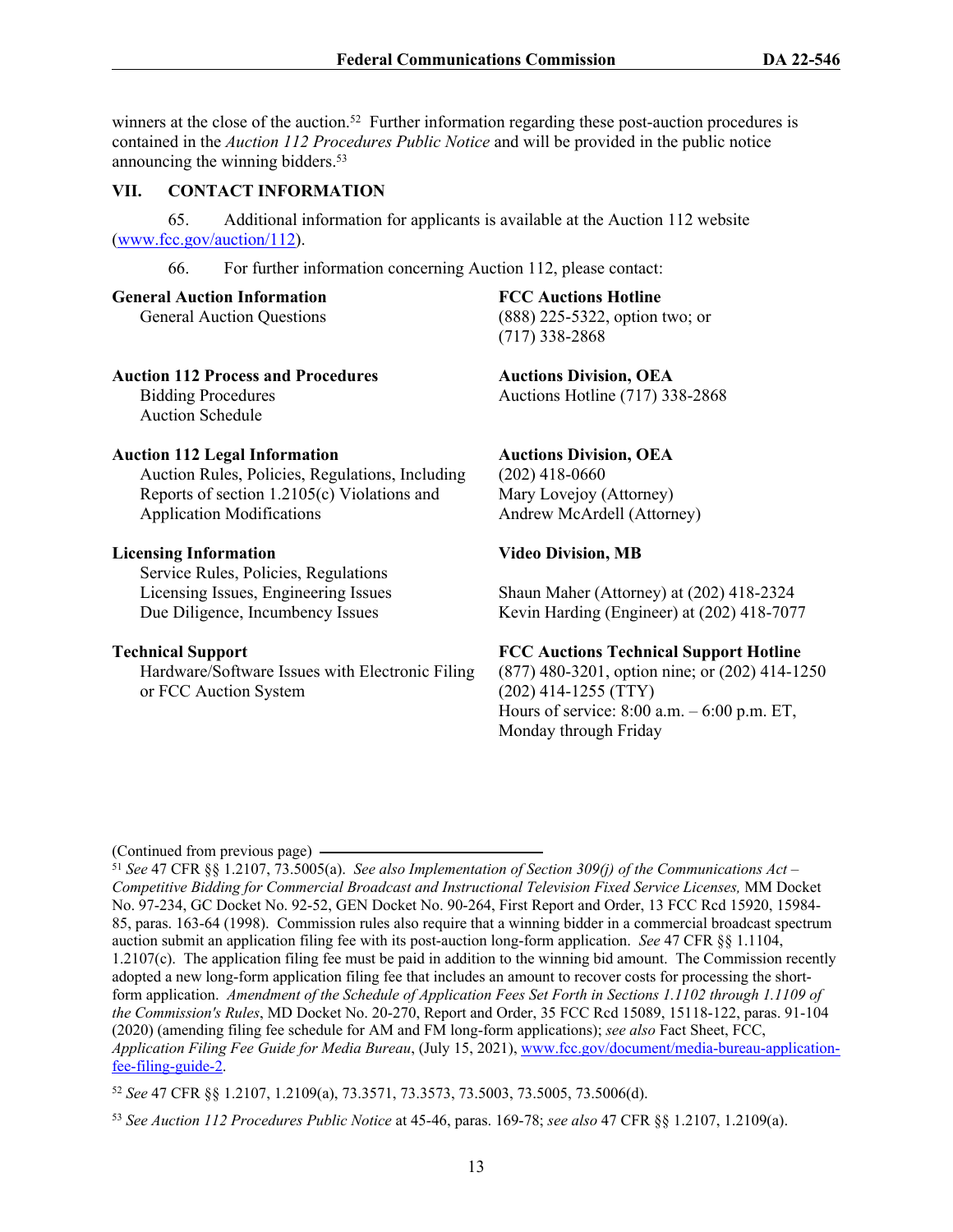winners at the close of the auction.<sup>52</sup> Further information regarding these post-auction procedures is contained in the *Auction 112 Procedures Public Notice* and will be provided in the public notice announcing the winning bidders.<sup>53</sup>

#### **VII. CONTACT INFORMATION**

65. Additional information for applicants is available at the Auction 112 website ([www.fcc.gov/auction/112\)](https://www.fcc.gov/auction/112).

66. For further information concerning Auction 112, please contact:

**General Auction Information**

General Auction Questions

#### **Auction 112 Process and Procedures**

Bidding Procedures Auction Schedule

#### **Auction 112 Legal Information**

Auction Rules, Policies, Regulations, Including Reports of section 1.2105(c) Violations and Application Modifications

#### **Licensing Information**

Service Rules, Policies, Regulations Licensing Issues, Engineering Issues Due Diligence, Incumbency Issues

#### **Technical Support**

Hardware/Software Issues with Electronic Filing or FCC Auction System

#### **FCC Auctions Hotline**

(888) 225-5322, option two; or (717) 338-2868

**Auctions Division, OEA** Auctions Hotline (717) 338-2868

#### **Auctions Division, OEA**

(202) 418-0660 Mary Lovejoy (Attorney) Andrew McArdell (Attorney)

## **Video Division, MB**

Shaun Maher (Attorney) at (202) 418-2324 Kevin Harding (Engineer) at (202) 418-7077

#### **FCC Auctions Technical Support Hotline**

(877) 480-3201, option nine; or (202) 414-1250 (202) 414-1255 (TTY) Hours of service: 8:00 a.m. – 6:00 p.m. ET, Monday through Friday

(Continued from previous page)

<sup>51</sup> *See* 47 CFR §§ 1.2107, 73.5005(a). *See also Implementation of Section 309(j) of the Communications Act – Competitive Bidding for Commercial Broadcast and Instructional Television Fixed Service Licenses,* MM Docket No. 97-234, GC Docket No. 92-52, GEN Docket No. 90-264, First Report and Order, 13 FCC Rcd 15920, 15984- 85, paras. 163-64 (1998). Commission rules also require that a winning bidder in a commercial broadcast spectrum auction submit an application filing fee with its post-auction long-form application. *See* 47 CFR §§ 1.1104, 1.2107(c). The application filing fee must be paid in addition to the winning bid amount. The Commission recently adopted a new long-form application filing fee that includes an amount to recover costs for processing the shortform application. *Amendment of the Schedule of Application Fees Set Forth in Sections 1.1102 through 1.1109 of the Commission's Rules*, MD Docket No. 20-270, Report and Order, 35 FCC Rcd 15089, 15118-122, paras. 91-104 (2020) (amending filing fee schedule for AM and FM long-form applications); *see also* Fact Sheet, FCC, *Application Filing Fee Guide for Media Bureau*, (July 15, 2021), [www.fcc.gov/document/media-bureau-application](https://www.fcc.gov/document/media-bureau-application-fee-filing-guide-2)[fee-filing-guide-2](https://www.fcc.gov/document/media-bureau-application-fee-filing-guide-2).

<sup>52</sup> *See* 47 CFR §§ 1.2107, 1.2109(a), 73.3571, 73.3573, 73.5003, 73.5005, 73.5006(d).

<sup>53</sup> *See Auction 112 Procedures Public Notice* at 45-46, paras. 169-78; *see also* 47 CFR §§ 1.2107, 1.2109(a).